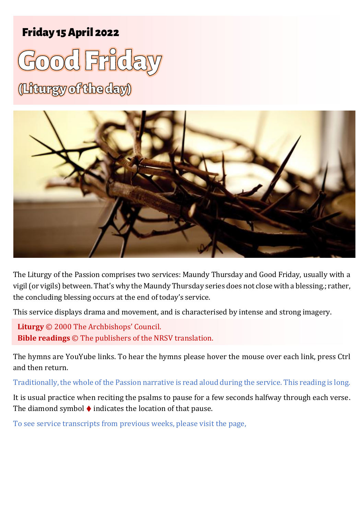# Friday 15 April 2022 <sup>1</sup> **Good Friday** Friday 15 April 2022

(Liturgy of the day)



The Liturgy of the Passion comprises two services: Maundy Thursday and Good Friday, usually with a vigil (or vigils) between. That's why the Maundy Thursday series does not close with a blessing.; rather, the concluding blessing occurs at the end of today's service.

This service displays drama and movement, and is characterised by intense and strong imagery.

**Liturgy** © 2000 The Archbishops' Council. **Bible readings** © The publishers of the NRSV translation.

The hymns are YouYube links. To hear the hymns please hover the mouse over each link, press Ctrl and then return.

Traditionally, the whole of the Passion narrative is read aloud during the service. This reading is long.

It is usual practice when reciting the psalms to pause for a few seconds halfway through each verse. The diamond symbol  $\blacklozenge$  indicates the location of that pause.

To see service transcripts from previous weeks, please visit the page,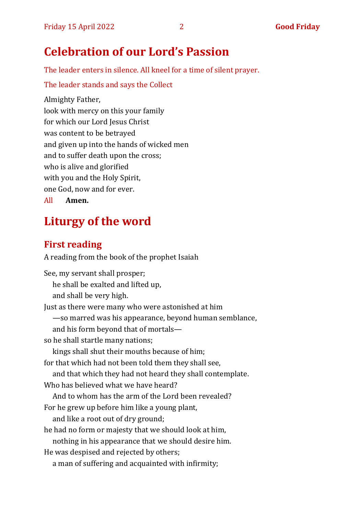# **Celebration of our Lord's Passion**

The leader enters in silence. All kneel for a time of silent prayer.

The leader stands and says the Collect

Almighty Father, look with mercy on this your family for which our Lord Jesus Christ was content to be betrayed and given up into the hands of wicked men and to suffer death upon the cross; who is alive and glorified with you and the Holy Spirit, one God, now and for ever. All **Amen.**

# **Liturgy of the word**

## **First reading**

A reading from the book of the prophet Isaiah See, my servant shall prosper; he shall be exalted and lifted up, and shall be very high. Just as there were many who were astonished at him —so marred was his appearance, beyond human semblance, and his form beyond that of mortals so he shall startle many nations; kings shall shut their mouths because of him; for that which had not been told them they shall see, and that which they had not heard they shall contemplate. Who has believed what we have heard? And to whom has the arm of the Lord been revealed? For he grew up before him like a young plant, and like a root out of dry ground; he had no form or majesty that we should look at him, nothing in his appearance that we should desire him. He was despised and rejected by others; a man of suffering and acquainted with infirmity;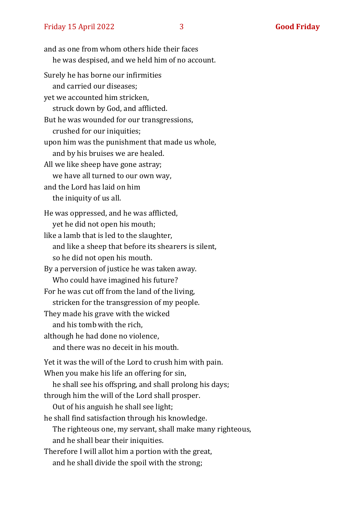and as one from whom others hide their faces he was despised, and we held him of no account. Surely he has borne our infirmities and carried our diseases; yet we accounted him stricken, struck down by God, and afflicted. But he was wounded for our transgressions, crushed for our iniquities; upon him was the punishment that made us whole, and by his bruises we are healed. All we like sheep have gone astray; we have all turned to our own way, and the Lord has laid on him the iniquity of us all. He was oppressed, and he was afflicted, yet he did not open his mouth; like a lamb that is led to the slaughter, and like a sheep that before its shearers is silent, so he did not open his mouth. By a perversion of justice he was taken away. Who could have imagined his future? For he was cut off from the land of the living, stricken for the transgression of my people. They made his grave with the wicked and his tombwith the rich, although he had done no violence, and there was no deceit in his mouth. Yet it was the will of the Lord to crush him with pain. When you make his life an offering for sin, he shall see his offspring, and shall prolong his days; through him the will of the Lord shall prosper. Out of his anguish he shall see light; he shall find satisfaction through his knowledge. The righteous one, my servant, shall make many righteous, and he shall bear their iniquities. Therefore I will allot him a portion with the great, and he shall divide the spoil with the strong;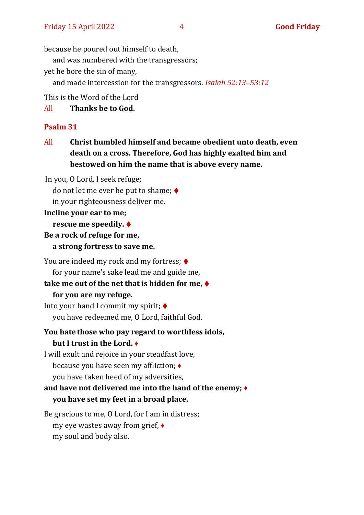because he poured out himself to death,

and was numbered with the transgressors;

yet he bore the sin of many,

and made intercession for the transgressors. *Isaiah 52:13–53:12*

This is the Word of the Lord

All **Thanks be to God.**

#### **Psalm 31**

All **Christ humbled himself and became obedient unto death, even death on a cross. Therefore, God has highly exalted him and bestowed on him the name that is above every name.**

In you, O Lord, I seek refuge;

do not let me ever be put to shame; ♦

in your righteousness deliver me.

**Incline your ear to me;**

#### **rescue me speedily.** ♦

- **Be a rock of refuge for me,**
	- **a strong fortress to save me.**

You are indeed my rock and my fortress;  $\blacklozenge$ 

for your name's sake lead me and guide me,

**take me out of the net that is hidden for me,** ♦

#### **for you are my refuge.**

Into your hand I commit my spirit;  $\triangleleft$ you have redeemed me, O Lord, faithful God.

**You hate those who pay regard to worthless idols, but I trust in the Lord.** ♦

I will exult and rejoice in your steadfast love, because you have seen my affliction; ♦

you have taken heed of my adversities,

```
and have not delivered me into the hand of the enemy; ♦
you have set my feet in a broad place.
```
Be gracious to me, O Lord, for I am in distress; my eye wastes away from grief,  $\triangleleft$ my soul and body also.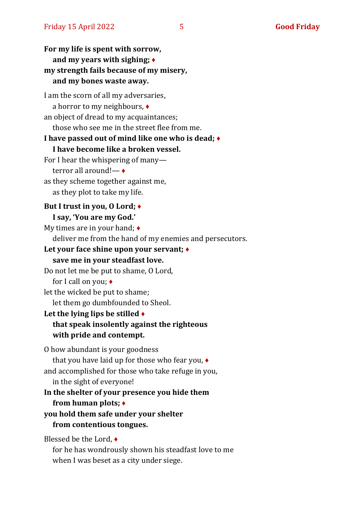## **For my life is spent with sorrow, and my years with sighing;** ♦ **my strength fails because of my misery, and my bones waste away.** I am the scorn of all my adversaries, a horror to my neighbours, ♦ an object of dread to my acquaintances; those who see me in the street flee from me. **I have passed out of mind like one who is dead;** ♦ **I have become like a broken vessel.** For I hear the whispering of many terror all around!— ♦ as they scheme together against me, as they plot to take my life. **But I trust in you, O Lord;** ♦ **I say, 'You are my God.'** My times are in your hand;  $\triangleleft$ deliver me from the hand of my enemies and persecutors. **Let your face shine upon your servant;** ♦ **save me in your steadfast love.** Do not let me be put to shame, O Lord, for I call on you; ♦ let the wicked be put to shame; let them go dumbfounded to Sheol. **Let the lying lips be stilled** ♦ **that speak insolently against the righteous with pride and contempt.** O how abundant is your goodness that you have laid up for those who fear you, ♦ and accomplished for those who take refuge in you, in the sight of everyone! **In the shelter of your presence you hide them from human plots;** ♦ **you hold them safe under your shelter from contentious tongues.** Blessed be the Lord, ♦

for he has wondrously shown his steadfast love to me when I was beset as a city under siege.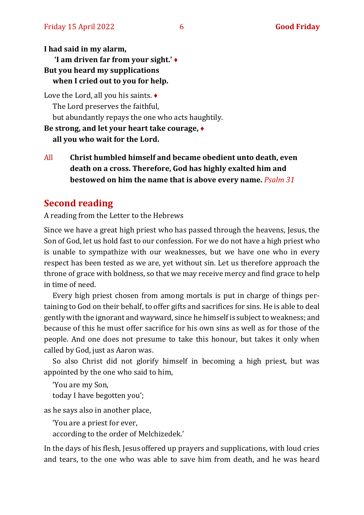#### **I had said in my alarm, 'I am driven far from your sight.'** ♦ **But you heard my supplications when I cried out to you for help.**

Love the Lord, all you his saints. ♦ The Lord preserves the faithful, but abundantly repays the one who acts haughtily.

**Be strong, and let your heart take courage,** ♦

**all you who wait for the Lord.**

All **Christ humbled himself and became obedient unto death, even death on a cross. Therefore, God has highly exalted him and bestowed on him the name that is above every name.** *Psalm 31*

## **Second reading**

A reading from the Letter to the Hebrews

Since we have a great high priest who has passed through the heavens, Jesus, the Son of God, let us hold fast to our confession. For we do not have a high priest who is unable to sympathize with our weaknesses, but we have one who in every respect has been tested as we are, yet without sin. Let us therefore approach the throne of grace with boldness, so that we may receive mercy and find grace to help in time of need.

Every high priest chosen from among mortals is put in charge of things pertaining to God on their behalf, to offer gifts and sacrifices for sins. He is able to deal gently with the ignorant and wayward, since he himself is subject to weakness; and because of this he must offer sacrifice for his own sins as well as for those of the people. And one does not presume to take this honour, but takes it only when called by God, just as Aaron was.

So also Christ did not glorify himself in becoming a high priest, but was appointed by the one who said to him,

'You are my Son, today I have begotten you';

as he says also in another place,

'You are a priest for ever,

according to the order of Melchizedek.'

In the days of his flesh, Jesus offered up prayers and supplications, with loud cries and tears, to the one who was able to save him from death, and he was heard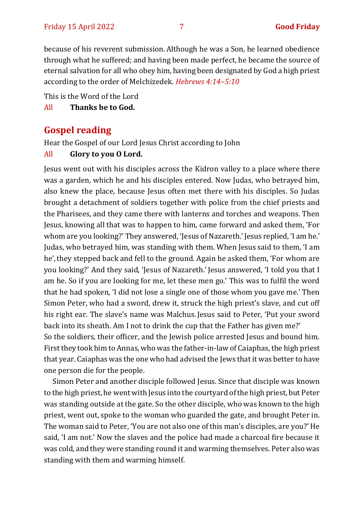because of his reverent submission. Although he was a Son, he learned obedience through what he suffered; and having been made perfect, he became the source of eternal salvation for all who obey him, having been designated by God a high priest according to the order of Melchizedek. *Hebrews 4:14–5:10*

This is the Word of the Lord

All **Thanks be to God.**

### **Gospel reading**

Hear the Gospel of our Lord Jesus Christ according to John

#### All **Glory to you O Lord.**

Jesus went out with his disciples across the Kidron valley to a place where there was a garden, which he and his disciples entered. Now Judas, who betrayed him, also knew the place, because Jesus often met there with his disciples. So Judas brought a detachment of soldiers together with police from the chief priests and the Pharisees, and they came there with lanterns and torches and weapons. Then Jesus, knowing all that was to happen to him, came forward and asked them, 'For whom are you looking?' They answered, 'Jesus of Nazareth.'Jesus replied, 'I am he.' Judas, who betrayed him, was standing with them. When Jesus said to them, 'I am he', they stepped back and fell to the ground. Again he asked them, 'For whom are you looking?' And they said, 'Jesus of Nazareth.' Jesus answered, 'I told you that I am he. So if you are looking for me, let these men go.' This was to fulfil the word that he had spoken, 'I did not lose a single one of those whom you gave me.' Then Simon Peter, who had a sword, drew it, struck the high priest's slave, and cut off his right ear. The slave's name was Malchus. Jesus said to Peter, 'Put your sword back into its sheath. Am I not to drink the cup that the Father has given me?' So the soldiers, their officer, and the Jewish police arrested Jesus and bound him. First they took him to Annas, who was the father-in-law of Caiaphas, the high priest that year. Caiaphas was the one who had advised the Jews that it was better to have one person die for the people.

Simon Peter and another disciple followed Jesus. Since that disciple was known to the high priest, he went with Jesus into the courtyard of the high priest, but Peter was standing outside at the gate. So the other disciple, who was known to the high priest, went out, spoke to the woman who guarded the gate, and brought Peter in. The woman said to Peter, 'You are not also one of this man's disciples, are you?' He said, 'I am not.' Now the slaves and the police had made a charcoal fire because it was cold, and they were standing round it and warming themselves. Peter also was standing with them and warming himself.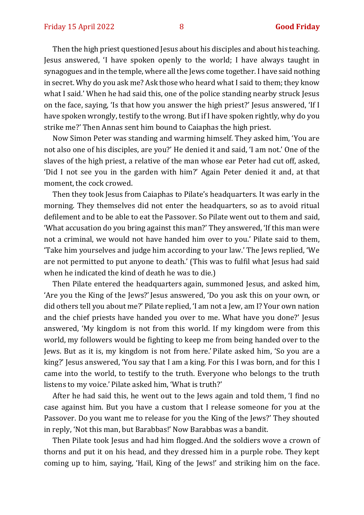Then the high priest questioned Jesus about his disciples and about his teaching. Jesus answered, 'I have spoken openly to the world; I have always taught in synagogues and in the temple, where all the Jews come together. I have said nothing in secret. Why do you ask me? Ask those who heard what I said to them; they know what I said.' When he had said this, one of the police standing nearby struck Jesus on the face, saying, 'Is that how you answer the high priest?' Jesus answered, 'If I have spoken wrongly, testify to the wrong. But if I have spoken rightly, why do you strike me?' Then Annas sent him bound to Caiaphas the high priest.

Now Simon Peter was standing and warming himself. They asked him, 'You are not also one of his disciples, are you?' He denied it and said, 'I am not.' One of the slaves of the high priest, a relative of the man whose ear Peter had cut off, asked, 'Did I not see you in the garden with him?' Again Peter denied it and, at that moment, the cock crowed.

Then they took Jesus from Caiaphas to Pilate's headquarters. It was early in the morning. They themselves did not enter the headquarters, so as to avoid ritual defilement and to be able to eat the Passover. So Pilate went out to them and said, 'What accusation do you bring against this man?' They answered, 'If this man were not a criminal, we would not have handed him over to you.' Pilate said to them, 'Take him yourselves and judge him according to your law.' The Jews replied, 'We are not permitted to put anyone to death.' (This was to fulfil what Jesus had said when he indicated the kind of death he was to die.)

Then Pilate entered the headquarters again, summoned Jesus, and asked him, 'Are you the King of the Jews?' Jesus answered, 'Do you ask this on your own, or did others tell you about me?' Pilate replied, 'I am not a Jew, am I? Your own nation and the chief priests have handed you over to me. What have you done?' Jesus answered, 'My kingdom is not from this world. If my kingdom were from this world, my followers would be fighting to keep me from being handed over to the Jews. But as it is, my kingdom is not from here.' Pilate asked him, 'So you are a king?' Jesus answered, 'You say that I am a king. For this I was born, and for this I came into the world, to testify to the truth. Everyone who belongs to the truth listens to my voice.' Pilate asked him, 'What is truth?'

After he had said this, he went out to the Jews again and told them, 'I find no case against him. But you have a custom that I release someone for you at the Passover. Do you want me to release for you the King of the Jews?' They shouted in reply, 'Not this man, but Barabbas!' Now Barabbas was a bandit.

Then Pilate took Jesus and had him flogged. And the soldiers wove a crown of thorns and put it on his head, and they dressed him in a purple robe. They kept coming up to him, saying, 'Hail, King of the Jews!' and striking him on the face.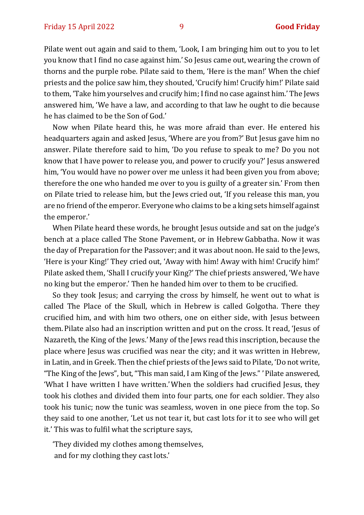Pilate went out again and said to them, 'Look, I am bringing him out to you to let you know that I find no case against him.' So Jesus came out, wearing the crown of thorns and the purple robe. Pilate said to them, 'Here is the man!' When the chief priests and the police saw him, they shouted, 'Crucify him! Crucify him!' Pilate said to them, 'Take him yourselves and crucify him; I find no case against him.' The Jews answered him, 'We have a law, and according to that law he ought to die because he has claimed to be the Son of God.'

Now when Pilate heard this, he was more afraid than ever. He entered his headquarters again and asked Jesus, 'Where are you from?' But Jesus gave him no answer. Pilate therefore said to him, 'Do you refuse to speak to me? Do you not know that I have power to release you, and power to crucify you?' Jesus answered him, 'You would have no power over me unless it had been given you from above; therefore the one who handed me over to you is guilty of a greater sin.' From then on Pilate tried to release him, but the Jews cried out, 'If you release this man, you are no friend of the emperor. Everyone who claims to be a king sets himself against the emperor.'

When Pilate heard these words, he brought Jesus outside and sat on the judge's bench at a place called The Stone Pavement, or in Hebrew Gabbatha. Now it was the day of Preparation for the Passover; and it was about noon. He said to the Jews, 'Here is your King!' They cried out, 'Away with him! Away with him! Crucify him!' Pilate asked them, 'Shall I crucify your King?' The chief priests answered, 'We have no king but the emperor.' Then he handed him over to them to be crucified.

So they took Jesus; and carrying the cross by himself, he went out to what is called The Place of the Skull, which in Hebrew is called Golgotha. There they crucified him, and with him two others, one on either side, with Jesus between them. Pilate also had an inscription written and put on the cross. It read, 'Jesus of Nazareth, the King of the Jews.' Many of the Jews read this inscription, because the place where Jesus was crucified was near the city; and it was written in Hebrew, in Latin, and in Greek. Then the chief priests of the Jews said to Pilate, 'Do not write, "The King of the Jews", but, "This man said, I am King of the Jews." 'Pilate answered, 'What I have written I have written.'When the soldiers had crucified Jesus, they took his clothes and divided them into four parts, one for each soldier. They also took his tunic; now the tunic was seamless, woven in one piece from the top. So they said to one another, 'Let us not tear it, but cast lots for it to see who will get it.' This was to fulfil what the scripture says,

'They divided my clothes among themselves, and for my clothing they cast lots.'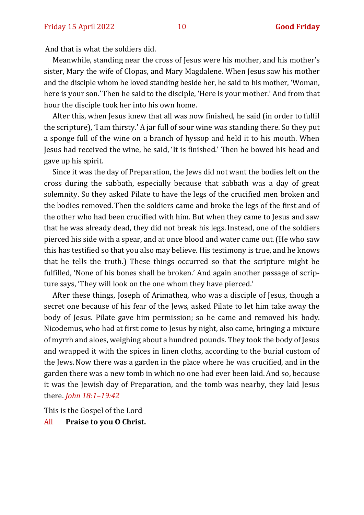And that is what the soldiers did.

Meanwhile, standing near the cross of Jesus were his mother, and his mother's sister, Mary the wife of Clopas, and Mary Magdalene. When Jesus saw his mother and the disciple whom he loved standing beside her, he said to his mother, 'Woman, here is your son.' Then he said to the disciple, 'Here is your mother.' And from that hour the disciple took her into his own home.

After this, when Jesus knew that all was now finished, he said (in order to fulfil the scripture), 'I am thirsty.' A jar full of sour wine was standing there. So they put a sponge full of the wine on a branch of hyssop and held it to his mouth. When Jesus had received the wine, he said, 'It is finished.' Then he bowed his head and gave up his spirit.

Since it was the day of Preparation, the Jews did not want the bodies left on the cross during the sabbath, especially because that sabbath was a day of great solemnity. So they asked Pilate to have the legs of the crucified men broken and the bodies removed. Then the soldiers came and broke the legs of the first and of the other who had been crucified with him. But when they came to Jesus and saw that he was already dead, they did not break his legs. Instead, one of the soldiers pierced his side with a spear, and at once blood and water came out.(He who saw this has testified so that you also may believe. His testimony is true, and he knows that he tells the truth.) These things occurred so that the scripture might be fulfilled, 'None of his bones shall be broken.' And again another passage of scripture says, 'They will look on the one whom they have pierced.'

After these things, Joseph of Arimathea, who was a disciple of Jesus, though a secret one because of his fear of the Jews, asked Pilate to let him take away the body of Jesus. Pilate gave him permission; so he came and removed his body. Nicodemus, who had at first come to Jesus by night, also came, bringing a mixture of myrrh and aloes, weighing about a hundred pounds. They took the body of Jesus and wrapped it with the spices in linen cloths, according to the burial custom of the Jews.Now there was a garden in the place where he was crucified, and in the garden there was a new tomb in which no one had ever been laid. And so, because it was the Jewish day of Preparation, and the tomb was nearby, they laid Jesus there. *John 18:1–19:42*

This is the Gospel of the Lord

All **Praise to you O Christ.**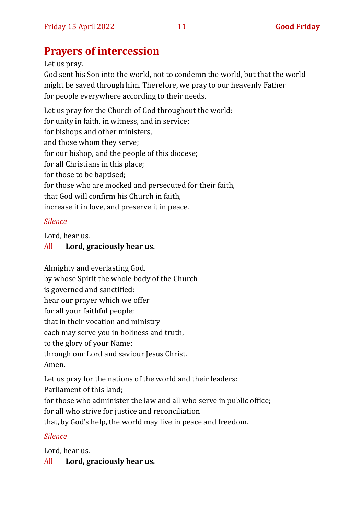## **Prayers of intercession**

Let us pray.

God sent his Son into the world, not to condemn the world, but that the world might be saved through him. Therefore, we pray to our heavenly Father for people everywhere according to their needs.

Let us pray for the Church of God throughout the world: for unity in faith, in witness, and in service; for bishops and other ministers, and those whom they serve; for our bishop, and the people of this diocese; for all Christians in this place; for those to be baptised; for those who are mocked and persecuted for their faith, that God will confirm his Church in faith, increase it in love, and preserve it in peace.

#### *Silence*

Lord, hear us.

#### All **Lord, graciously hear us.**

Almighty and everlasting God,

by whose Spirit the whole body of the Church

is governed and sanctified:

hear our prayer which we offer

for all your faithful people;

that in their vocation and ministry

each may serve you in holiness and truth,

to the glory of your Name:

through our Lord and saviour Jesus Christ.

Amen.

Let us pray for the nations of the world and their leaders:

Parliament of this land;

for those who administer the law and all who serve in public office;

for all who strive for justice and reconciliation

that, by God's help, the world may live in peace and freedom.

#### *Silence*

Lord, hear us.

All **Lord, graciously hear us.**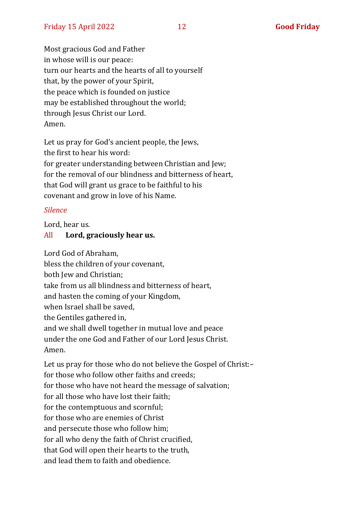Most gracious God and Father in whose will is our peace: turn our hearts and the hearts of all to yourself that, by the power of your Spirit, the peace which is founded on justice may be established throughout the world; through Jesus Christ our Lord. Amen.

Let us pray for God's ancient people, the Jews, the first to hear his word: for greater understanding between Christian and Jew; for the removal of our blindness and bitterness of heart, that God will grant us grace to be faithful to his covenant and grow in love of his Name.

#### *Silence*

Lord, hear us.

#### All **Lord, graciously hear us.**

Lord God of Abraham,

bless the children of your covenant,

both Jew and Christian;

take from us all blindness and bitterness of heart,

and hasten the coming of your Kingdom,

when Israel shall be saved,

the Gentiles gathered in,

and we shall dwell together in mutual love and peace

under the one God and Father of our Lord Jesus Christ. Amen.

Let us pray for those who do not believe the Gospel of Christ:– for those who follow other faiths and creeds; for those who have not heard the message of salvation; for all those who have lost their faith; for the contemptuous and scornful; for those who are enemies of Christ and persecute those who follow him; for all who deny the faith of Christ crucified, that God will open their hearts to the truth, and lead them to faith and obedience.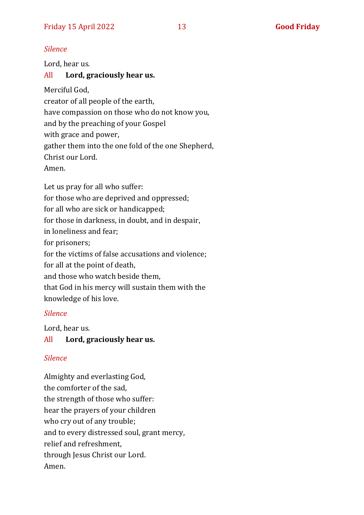#### *Silence*

Lord, hear us.

#### All **Lord, graciously hear us.**

Merciful God,

creator of all people of the earth,

have compassion on those who do not know you,

and by the preaching of your Gospel

with grace and power,

gather them into the one fold of the one Shepherd,

Christ our Lord.

Amen.

Let us pray for all who suffer: for those who are deprived and oppressed; for all who are sick or handicapped; for those in darkness, in doubt, and in despair, in loneliness and fear; for prisoners; for the victims of false accusations and violence; for all at the point of death, and those who watch beside them, that God in his mercy will sustain them with the knowledge of his love.

#### *Silence*

Lord, hear us.

### All **Lord, graciously hear us.**

#### *Silence*

Almighty and everlasting God, the comforter of the sad, the strength of those who suffer: hear the prayers of your children who cry out of any trouble; and to every distressed soul, grant mercy, relief and refreshment, through Jesus Christ our Lord. Amen.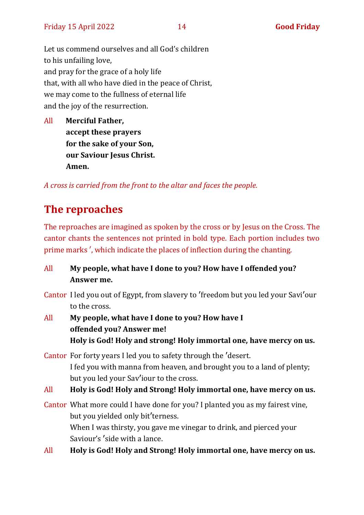Let us commend ourselves and all God's children to his unfailing love, and pray for the grace of a holy life that, with all who have died in the peace of Christ, we may come to the fullness of eternal life and the joy of the resurrection.

All **Merciful Father, accept these prayers for the sake of your Son, our Saviour Jesus Christ. Amen.**

*A cross is carried from the front to the altar and faces the people.* 

## **The reproaches**

The reproaches are imagined as spoken by the cross or by Jesus on the Cross. The cantor chants the sentences not printed in bold type. Each portion includes two prime marks ′, which indicate the places of inflection during the chanting.

- All **My people, what have I done to you? How have I offended you? Answer me.**
- Cantor I led you out of Egypt, from slavery to **′**freedom but you led your Savi**′**our to the cross.
- All **My people, what have I done to you? How have I offended you? Answer me! Holy is God! Holy and strong! Holy immortal one, have mercy on us.**

Cantor For forty years I led you to safety through the **′**desert. I fed you with manna from heaven, and brought you to a land of plenty; but you led your Sav**′**iour to the cross.

All **Holy is God! Holy and Strong! Holy immortal one, have mercy on us.**

Cantor What more could I have done for you? I planted you as my fairest vine, but you yielded only bit**′**terness. When I was thirsty, you gave me vinegar to drink, and pierced your Saviour's **′**side with a lance.

All **Holy is God! Holy and Strong! Holy immortal one, have mercy on us.**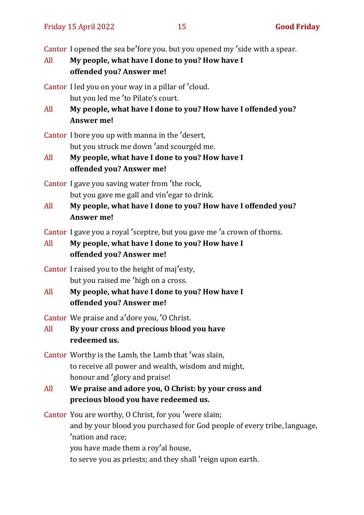Cantor I opened the sea be**′**fore you. but you opened my **′**side with a spear.

- All **My people, what have I done to you? How have I offended you? Answer me!**
- Cantor I led you on your way in a pillar of **′**cloud. but you led me **′**to Pilate's court.
- All **My people, what have I done to you? How have I offended you? Answer me!**
- Cantor I bore you up with manna in the **′**desert, but you struck me down 'and scourgéd me.
- All **My people, what have I done to you? How have I offended you? Answer me!**

Cantor I gave you saving water from **′**the rock, but you gave me gall and vin**′**egar to drink.

All **My people, what have I done to you? How have I offended you? Answer me!**

Cantor I gave you a royal **′**sceptre, but you gave me **′**a crown of thorns.

- All **My people, what have I done to you? How have I offended you? Answer me!**
- Cantor I raised you to the height of maj**′**esty, but you raised me **′**high on a cross.
- All **My people, what have I done to you? How have I offended you? Answer me!**

Cantor We praise and a**′**dore you, **′**O Christ.

All **By your cross and precious blood you have redeemed us.**

Cantor Worthy is the Lamb, the Lamb that **′**was slain, to receive all power and wealth, wisdom and might, honour and **′**glory and praise!

All **We praise and adore you, O Christ: by your cross and precious blood you have redeemed us.**

Cantor You are worthy, O Christ, for you **′**were slain; and by your blood you purchased for God people of every tribe, language, **′**nation and race; you have made them a roy**′**al house, to serve you as priests; and they shall **′**reign upon earth.